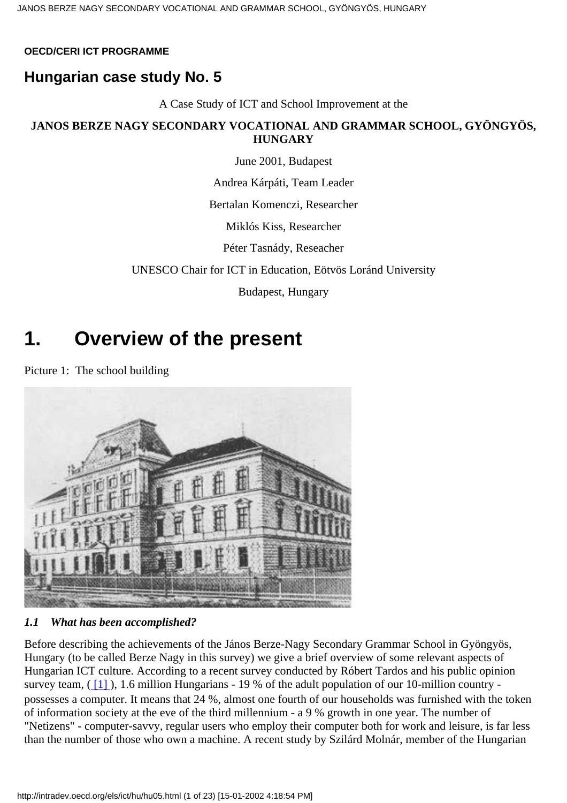#### <span id="page-0-0"></span>**OECD/CERI ICT PROGRAMME**

### **Hungarian case study No. 5**

A Case Study of ICT and School Improvement at the

#### **JANOS BERZE NAGY SECONDARY VOCATIONAL AND GRAMMAR SCHOOL, GYÖNGYÖS, HUNGARY**

June 2001, Budapest

Andrea Kárpáti, Team Leader

Bertalan Komenczi, Researcher

Miklós Kiss, Researcher

Péter Tasnády, Reseacher

UNESCO Chair for ICT in Education, Eötvös Loránd University

Budapest, Hungary

### **1. Overview of the present**

Picture 1: The school building



#### *1.1 What has been accomplished?*

<span id="page-0-1"></span>Before describing the achievements of the János Berze-Nagy Secondary Grammar School in Gyöngyös, Hungary (to be called Berze Nagy in this survey) we give a brief overview of some relevant aspects of Hungarian ICT culture. According to a recent survey conducted by Róbert Tardos and his public opinion survey team, ( $\lceil 1 \rceil$ ), 1.6 million Hungarians - 19 % of the adult population of our 10-million country possesses a computer. It means that 24 %, almost one fourth of our households was furnished with the token of information society at the eve of the third millennium - a 9 % growth in one year. The number of "Netizens" - computer-savvy, regular users who employ their computer both for work and leisure, is far less than the number of those who own a machine. A recent study by Szilárd Molnár, member of the Hungarian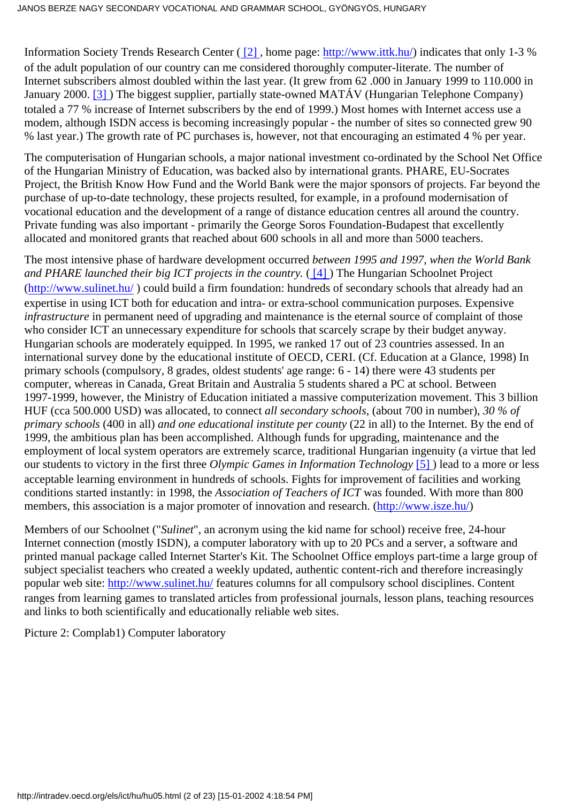<span id="page-1-1"></span><span id="page-1-0"></span>Information Society Trends Research Center [\( \[2\]](#page-21-1) , home page:<http://www.ittk.hu/>) indicates that only 1-3 % of the adult population of our country can me considered thoroughly computer-literate. The number of Internet subscribers almost doubled within the last year. (It grew from 62 .000 in January 1999 to 110.000 in January 2000. [\[3\]](#page-21-2) ) The biggest supplier, partially state-owned MATÁV (Hungarian Telephone Company) totaled a 77 % increase of Internet subscribers by the end of 1999.) Most homes with Internet access use a modem, although ISDN access is becoming increasingly popular - the number of sites so connected grew 90 % last year.) The growth rate of PC purchases is, however, not that encouraging an estimated 4 % per year.

The computerisation of Hungarian schools, a major national investment co-ordinated by the School Net Office of the Hungarian Ministry of Education, was backed also by international grants. PHARE, EU-Socrates Project, the British Know How Fund and the World Bank were the major sponsors of projects. Far beyond the purchase of up-to-date technology, these projects resulted, for example, in a profound modernisation of vocational education and the development of a range of distance education centres all around the country. Private funding was also important - primarily the George Soros Foundation-Budapest that excellently allocated and monitored grants that reached about 600 schools in all and more than 5000 teachers.

<span id="page-1-2"></span>The most intensive phase of hardware development occurred *between 1995 and 1997, when the World Bank* and PHARE launched their big ICT projects in the country. ([4]) The Hungarian Schoolnet Project (<http://www.sulinet.hu/> ) could build a firm foundation: hundreds of secondary schools that already had an expertise in using ICT both for education and intra- or extra-school communication purposes. Expensive *infrastructure* in permanent need of upgrading and maintenance is the eternal source of complaint of those who consider ICT an unnecessary expenditure for schools that scarcely scrape by their budget anyway. Hungarian schools are moderately equipped. In 1995, we ranked 17 out of 23 countries assessed. In an international survey done by the educational institute of OECD, CERI. (Cf. Education at a Glance, 1998) In primary schools (compulsory, 8 grades, oldest students' age range: 6 - 14) there were 43 students per computer, whereas in Canada, Great Britain and Australia 5 students shared a PC at school. Between 1997-1999, however, the Ministry of Education initiated a massive computerization movement. This 3 billion HUF (cca 500.000 USD) was allocated, to connect *all secondary schools*, (about 700 in number), *30 % of primary schools* (400 in all) *and one educational institute per county* (22 in all) to the Internet. By the end of 1999, the ambitious plan has been accomplished. Although funds for upgrading, maintenance and the employment of local system operators are extremely scarce, traditional Hungarian ingenuity (a virtue that led our students to victory in the first three *Olympic Games in Information Technology* [\[5\]](#page-21-4) ) lead to a more or less acceptable learning environment in hundreds of schools. Fights for improvement of facilities and working conditions started instantly: in 1998, the *Association of Teachers of ICT* was founded. With more than 800 members, this association is a major promoter of innovation and research. ([http://www.isze.hu/\)](http://www.isze.hu/)

<span id="page-1-3"></span>Members of our Schoolnet ("*Sulinet*", an acronym using the kid name for school) receive free, 24-hour Internet connection (mostly ISDN), a computer laboratory with up to 20 PCs and a server, a software and printed manual package called Internet Starter's Kit. The Schoolnet Office employs part-time a large group of subject specialist teachers who created a weekly updated, authentic content-rich and therefore increasingly popular web site:<http://www.sulinet.hu/>features columns for all compulsory school disciplines. Content ranges from learning games to translated articles from professional journals, lesson plans, teaching resources and links to both scientifically and educationally reliable web sites.

Picture 2: Complab1) Computer laboratory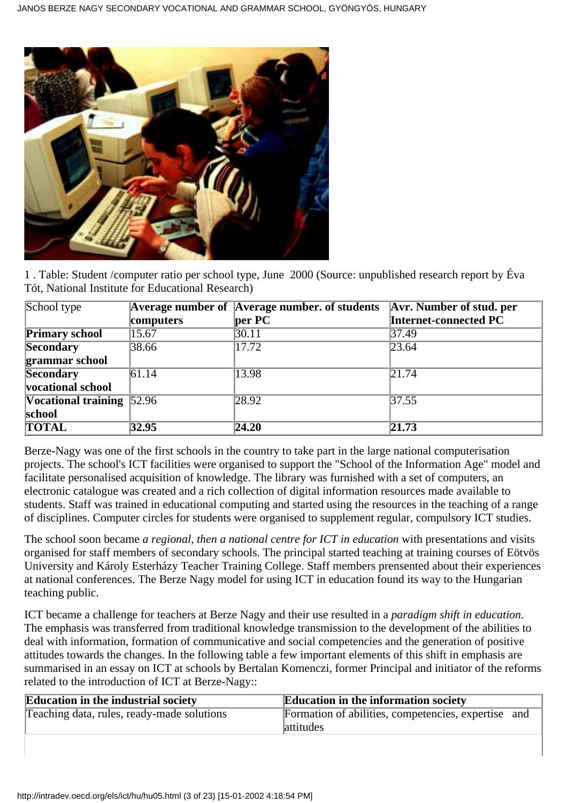

1 . Table: Student /computer ratio per school type, June 2000 (Source: unpublished research report by Éva Tót, National Institute for Educational Research)

| School type                                |           | <b>Average number of Average number. of students</b> | <b>Avr. Number of stud. per</b> |
|--------------------------------------------|-----------|------------------------------------------------------|---------------------------------|
|                                            | computers | $\ $ per PC                                          | Internet-connected PC           |
| <b>Primary school</b>                      | 15.67     | 30.11                                                | 37.49                           |
| <b>Secondary</b>                           | 38.66     | 17.72                                                | $\sqrt{23.64}$                  |
| grammar school                             |           |                                                      |                                 |
| Secondary                                  | 61.14     | 13.98                                                | $\sqrt{21.74}$                  |
| <b>vocational school</b>                   |           |                                                      |                                 |
| <b>Vocational training</b> $\boxed{52.96}$ |           | 28.92                                                | $\sqrt{37.55}$                  |
| school                                     |           |                                                      |                                 |
| <b>TOTAL</b>                               | 32.95     | 24.20                                                | $\sqrt{21.73}$                  |

Berze-Nagy was one of the first schools in the country to take part in the large national computerisation projects. The school's ICT facilities were organised to support the "School of the Information Age" model and facilitate personalised acquisition of knowledge. The library was furnished with a set of computers, an electronic catalogue was created and a rich collection of digital information resources made available to students. Staff was trained in educational computing and started using the resources in the teaching of a range of disciplines. Computer circles for students were organised to supplement regular, compulsory ICT studies.

The school soon became *a regional, then a national centre for ICT in education* with presentations and visits organised for staff members of secondary schools. The principal started teaching at training courses of Eötvös University and Károly Esterházy Teacher Training College. Staff members prensented about their experiences at national conferences. The Berze Nagy model for using ICT in education found its way to the Hungarian teaching public.

ICT became a challenge for teachers at Berze Nagy and their use resulted in a *paradigm shift in education.* The emphasis was transferred from traditional knowledge transmission to the development of the abilities to deal with information, formation of communicative and social competencies and the generation of positive attitudes towards the changes. In the following table a few important elements of this shift in emphasis are summarised in an essay on ICT at schools by Bertalan Komenczi, former Principal and initiator of the reforms related to the introduction of ICT at Berze-Nagy::

| <b>Education in the industrial society</b> | <b>Education in the information society</b>         |
|--------------------------------------------|-----------------------------------------------------|
| Teaching data, rules, ready-made solutions | Formation of abilities, competencies, expertise and |
|                                            | attitudes                                           |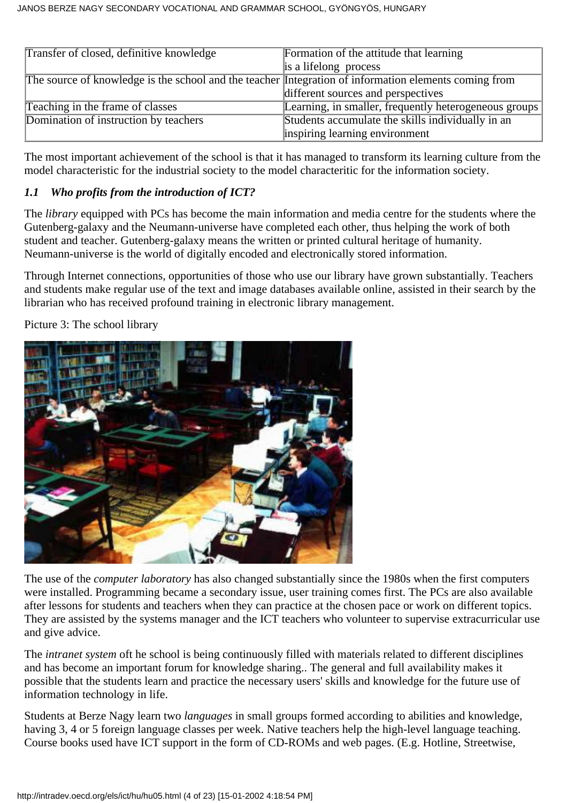| Transfer of closed, definitive knowledge                                                              | Formation of the attitude that learning                 |
|-------------------------------------------------------------------------------------------------------|---------------------------------------------------------|
|                                                                                                       | is a lifelong process                                   |
| The source of knowledge is the school and the teacher Integration of information elements coming from |                                                         |
|                                                                                                       | different sources and perspectives                      |
| Teaching in the frame of classes                                                                      | [Learning, in smaller, frequently heterogeneous groups] |
| Domination of instruction by teachers                                                                 | Students accumulate the skills individually in an       |
|                                                                                                       | inspiring learning environment                          |

The most important achievement of the school is that it has managed to transform its learning culture from the model characteristic for the industrial society to the model characteritic for the information society.

#### *1.1 Who profits from the introduction of ICT?*

The *library* equipped with PCs has become the main information and media centre for the students where the Gutenberg-galaxy and the Neumann-universe have completed each other, thus helping the work of both student and teacher. Gutenberg-galaxy means the written or printed cultural heritage of humanity. Neumann-universe is the world of digitally encoded and electronically stored information.

Through Internet connections, opportunities of those who use our library have grown substantially. Teachers and students make regular use of the text and image databases available online, assisted in their search by the librarian who has received profound training in electronic library management.

Picture 3: The school library



The use of the *computer laboratory* has also changed substantially since the 1980s when the first computers were installed. Programming became a secondary issue, user training comes first. The PCs are also available after lessons for students and teachers when they can practice at the chosen pace or work on different topics. They are assisted by the systems manager and the ICT teachers who volunteer to supervise extracurricular use and give advice.

The *intranet system* oft he school is being continuously filled with materials related to different disciplines and has become an important forum for knowledge sharing.. The general and full availability makes it possible that the students learn and practice the necessary users' skills and knowledge for the future use of information technology in life.

Students at Berze Nagy learn two *languages* in small groups formed according to abilities and knowledge, having 3, 4 or 5 foreign language classes per week. Native teachers help the high-level language teaching. Course books used have ICT support in the form of CD-ROMs and web pages. (E.g. Hotline, Streetwise,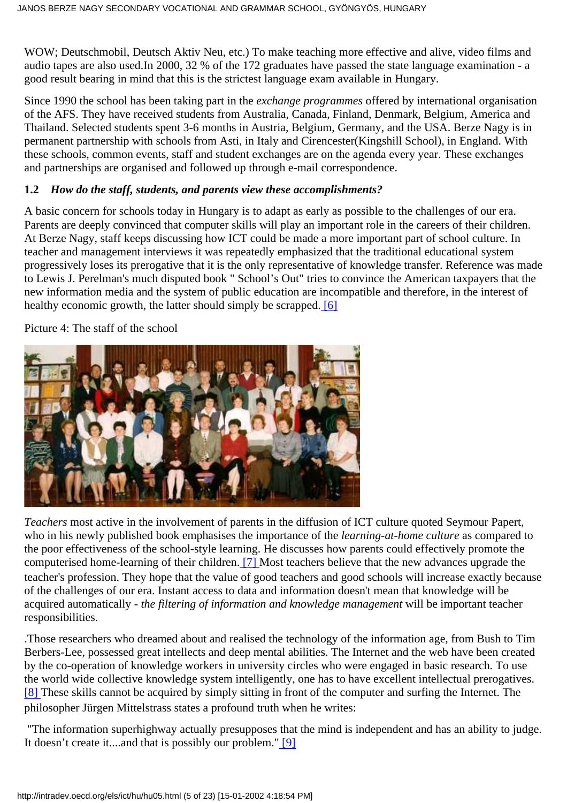WOW; Deutschmobil, Deutsch Aktiv Neu, etc.) To make teaching more effective and alive, video films and audio tapes are also used.In 2000, 32 % of the 172 graduates have passed the state language examination - a good result bearing in mind that this is the strictest language exam available in Hungary.

Since 1990 the school has been taking part in the *exchange programmes* offered by international organisation of the AFS. They have received students from Australia, Canada, Finland, Denmark, Belgium, America and Thailand. Selected students spent 3-6 months in Austria, Belgium, Germany, and the USA. Berze Nagy is in permanent partnership with schools from Asti, in Italy and Cirencester(Kingshill School), in England. With these schools, common events, staff and student exchanges are on the agenda every year. These exchanges and partnerships are organised and followed up through e-mail correspondence.

#### **1.2** *How do the staff, students, and parents view these accomplishments?*

A basic concern for schools today in Hungary is to adapt as early as possible to the challenges of our era. Parents are deeply convinced that computer skills will play an important role in the careers of their children. At Berze Nagy, staff keeps discussing how ICT could be made a more important part of school culture. In teacher and management interviews it was repeatedly emphasized that the traditional educational system progressively loses its prerogative that it is the only representative of knowledge transfer. Reference was made to Lewis J. Perelman's much disputed book " School's Out" tries to convince the American taxpayers that the new information media and the system of public education are incompatible and therefore, in the interest of healthy economic growth, the latter should simply be scrapped. [\[6\]](#page-21-5)

<span id="page-4-0"></span>Picture 4: The staff of the school



<span id="page-4-1"></span>*Teachers* most active in the involvement of parents in the diffusion of ICT culture quoted Seymour Papert, who in his newly published book emphasises the importance of the *learning-at-home culture* as compared to the poor effectiveness of the school-style learning. He discusses how parents could effectively promote the computerised home-learning of their children. [\[7\]](#page-21-6) Most teachers believe that the new advances upgrade the teacher's profession. They hope that the value of good teachers and good schools will increase exactly because of the challenges of our era. Instant access to data and information doesn't mean that knowledge will be acquired automatically - *the filtering of information and knowledge management* will be important teacher responsibilities.

<span id="page-4-2"></span>.Those researchers who dreamed about and realised the technology of the information age, from Bush to Tim Berbers-Lee, possessed great intellects and deep mental abilities. The Internet and the web have been created by the co-operation of knowledge workers in university circles who were engaged in basic research. To use the world wide collective knowledge system intelligently, one has to have excellent intellectual prerogatives. [\[8\]](#page-21-7) These skills cannot be acquired by simply sitting in front of the computer and surfing the Internet. The philosopher Jürgen Mittelstrass states a profound truth when he writes:

<span id="page-4-3"></span> "The information superhighway actually presupposes that the mind is independent and has an ability to judge. It doesn't create it....and that is possibly our problem." [\[9\]](#page-21-8)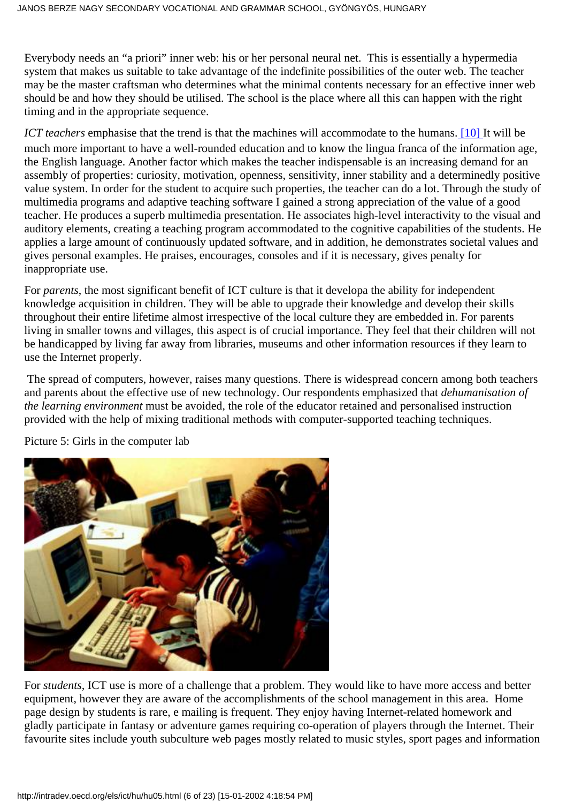Everybody needs an "a priori" inner web: his or her personal neural net. This is essentially a hypermedia system that makes us suitable to take advantage of the indefinite possibilities of the outer web. The teacher may be the master craftsman who determines what the minimal contents necessary for an effective inner web should be and how they should be utilised. The school is the place where all this can happen with the right timing and in the appropriate sequence.

*ICT teachers* emphasise that the trend is that the machines will accommodate to the humans[. \[10\]](#page-0-0) It will be much more important to have a well-rounded education and to know the lingua franca of the information age, the English language. Another factor which makes the teacher indispensable is an increasing demand for an assembly of properties: curiosity, motivation, openness, sensitivity, inner stability and a determinedly positive value system. In order for the student to acquire such properties, the teacher can do a lot. Through the study of multimedia programs and adaptive teaching software I gained a strong appreciation of the value of a good teacher. He produces a superb multimedia presentation. He associates high-level interactivity to the visual and auditory elements, creating a teaching program accommodated to the cognitive capabilities of the students. He applies a large amount of continuously updated software, and in addition, he demonstrates societal values and gives personal examples. He praises, encourages, consoles and if it is necessary, gives penalty for inappropriate use.

For *parents*, the most significant benefit of ICT culture is that it developa the ability for independent knowledge acquisition in children. They will be able to upgrade their knowledge and develop their skills throughout their entire lifetime almost irrespective of the local culture they are embedded in. For parents living in smaller towns and villages, this aspect is of crucial importance. They feel that their children will not be handicapped by living far away from libraries, museums and other information resources if they learn to use the Internet properly.

 The spread of computers, however, raises many questions. There is widespread concern among both teachers and parents about the effective use of new technology. Our respondents emphasized that *dehumanisation of the learning environment* must be avoided, the role of the educator retained and personalised instruction provided with the help of mixing traditional methods with computer-supported teaching techniques.



Picture 5: Girls in the computer lab

For *students,* ICT use is more of a challenge that a problem. They would like to have more access and better equipment, however they are aware of the accomplishments of the school management in this area. Home page design by students is rare, e mailing is frequent. They enjoy having Internet-related homework and gladly participate in fantasy or adventure games requiring co-operation of players through the Internet. Their favourite sites include youth subculture web pages mostly related to music styles, sport pages and information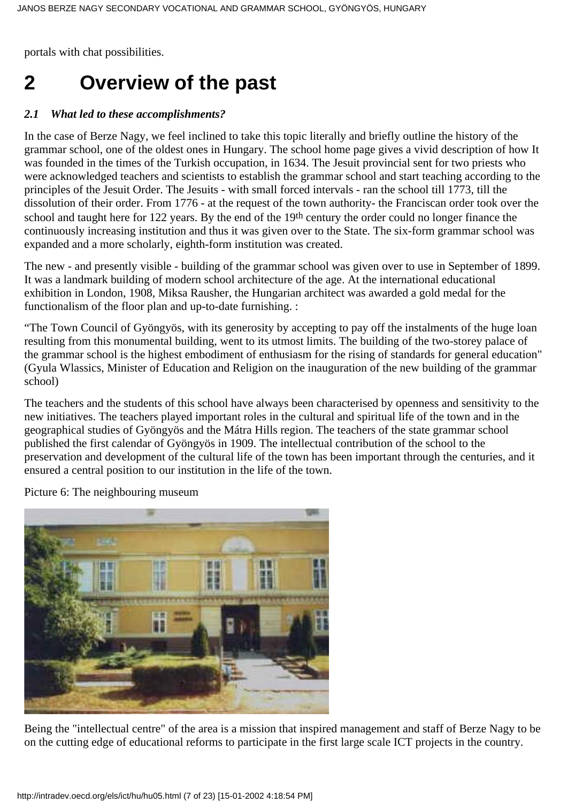portals with chat possibilities.

## **2 Overview of the past**

#### *2.1 What led to these accomplishments?*

In the case of Berze Nagy, we feel inclined to take this topic literally and briefly outline the history of the grammar school, one of the oldest ones in Hungary. The school home page gives a vivid description of how It was founded in the times of the Turkish occupation, in 1634. The Jesuit provincial sent for two priests who were acknowledged teachers and scientists to establish the grammar school and start teaching according to the principles of the Jesuit Order. The Jesuits - with small forced intervals - ran the school till 1773, till the dissolution of their order. From 1776 - at the request of the town authority- the Franciscan order took over the school and taught here for 122 years. By the end of the 19th century the order could no longer finance the continuously increasing institution and thus it was given over to the State. The six-form grammar school was expanded and a more scholarly, eighth-form institution was created.

The new - and presently visible - building of the grammar school was given over to use in September of 1899. It was a landmark building of modern school architecture of the age. At the international educational exhibition in London, 1908, Miksa Rausher, the Hungarian architect was awarded a gold medal for the functionalism of the floor plan and up-to-date furnishing. :

"The Town Council of Gyöngyös, with its generosity by accepting to pay off the instalments of the huge loan resulting from this monumental building, went to its utmost limits. The building of the two-storey palace of the grammar school is the highest embodiment of enthusiasm for the rising of standards for general education" (Gyula Wlassics, Minister of Education and Religion on the inauguration of the new building of the grammar school)

The teachers and the students of this school have always been characterised by openness and sensitivity to the new initiatives. The teachers played important roles in the cultural and spiritual life of the town and in the geographical studies of Gyöngyös and the Mátra Hills region. The teachers of the state grammar school published the first calendar of Gyöngyös in 1909. The intellectual contribution of the school to the preservation and development of the cultural life of the town has been important through the centuries, and it ensured a central position to our institution in the life of the town.



Picture 6: The neighbouring museum

Being the "intellectual centre" of the area is a mission that inspired management and staff of Berze Nagy to be on the cutting edge of educational reforms to participate in the first large scale ICT projects in the country.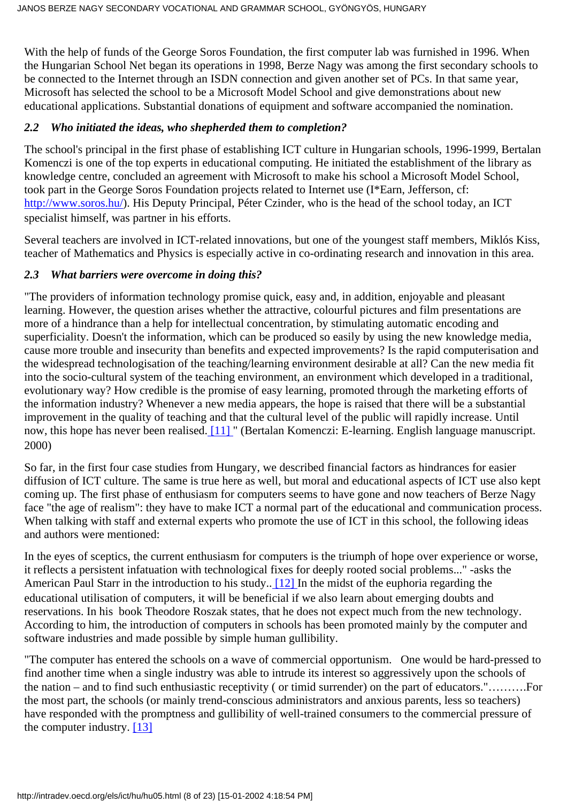With the help of funds of the George Soros Foundation, the first computer lab was furnished in 1996. When the Hungarian School Net began its operations in 1998, Berze Nagy was among the first secondary schools to be connected to the Internet through an ISDN connection and given another set of PCs. In that same year, Microsoft has selected the school to be a Microsoft Model School and give demonstrations about new educational applications. Substantial donations of equipment and software accompanied the nomination.

#### *2.2 Who initiated the ideas, who shepherded them to completion?*

The school's principal in the first phase of establishing ICT culture in Hungarian schools, 1996-1999, Bertalan Komenczi is one of the top experts in educational computing. He initiated the establishment of the library as knowledge centre, concluded an agreement with Microsoft to make his school a Microsoft Model School, took part in the George Soros Foundation projects related to Internet use (I\*Earn, Jefferson, cf: <http://www.soros.hu/>). His Deputy Principal, Péter Czinder, who is the head of the school today, an ICT specialist himself, was partner in his efforts.

Several teachers are involved in ICT-related innovations, but one of the youngest staff members, Miklós Kiss, teacher of Mathematics and Physics is especially active in co-ordinating research and innovation in this area.

#### *2.3 What barriers were overcome in doing this?*

"The providers of information technology promise quick, easy and, in addition, enjoyable and pleasant learning. However, the question arises whether the attractive, colourful pictures and film presentations are more of a hindrance than a help for intellectual concentration, by stimulating automatic encoding and superficiality. Doesn't the information, which can be produced so easily by using the new knowledge media, cause more trouble and insecurity than benefits and expected improvements? Is the rapid computerisation and the widespread technologisation of the teaching/learning environment desirable at all? Can the new media fit into the socio-cultural system of the teaching environment, an environment which developed in a traditional, evolutionary way? How credible is the promise of easy learning, promoted through the marketing efforts of the information industry? Whenever a new media appears, the hope is raised that there will be a substantial improvement in the quality of teaching and that the cultural level of the public will rapidly increase. Until now, this hope has never been realised. [\[11\]](#page-21-9) " (Bertalan Komenczi: E-learning. English language manuscript. 2000)

<span id="page-7-0"></span>So far, in the first four case studies from Hungary, we described financial factors as hindrances for easier diffusion of ICT culture. The same is true here as well, but moral and educational aspects of ICT use also kept coming up. The first phase of enthusiasm for computers seems to have gone and now teachers of Berze Nagy face "the age of realism": they have to make ICT a normal part of the educational and communication process. When talking with staff and external experts who promote the use of ICT in this school, the following ideas and authors were mentioned:

<span id="page-7-1"></span>In the eyes of sceptics, the current enthusiasm for computers is the triumph of hope over experience or worse, it reflects a persistent infatuation with technological fixes for deeply rooted social problems..." -asks the American Paul Starr in the introduction to his study.[. \[12\]](#page-21-10) In the midst of the euphoria regarding the educational utilisation of computers, it will be beneficial if we also learn about emerging doubts and reservations. In his book Theodore Roszak states, that he does not expect much from the new technology. According to him, the introduction of computers in schools has been promoted mainly by the computer and software industries and made possible by simple human gullibility.

<span id="page-7-2"></span>"The computer has entered the schools on a wave of commercial opportunism. One would be hard-pressed to find another time when a single industry was able to intrude its interest so aggressively upon the schools of the nation – and to find such enthusiastic receptivity ( or timid surrender) on the part of educators."……….For the most part, the schools (or mainly trend-conscious administrators and anxious parents, less so teachers) have responded with the promptness and gullibility of well-trained consumers to the commercial pressure of the computer industry. [\[13\]](#page-21-11)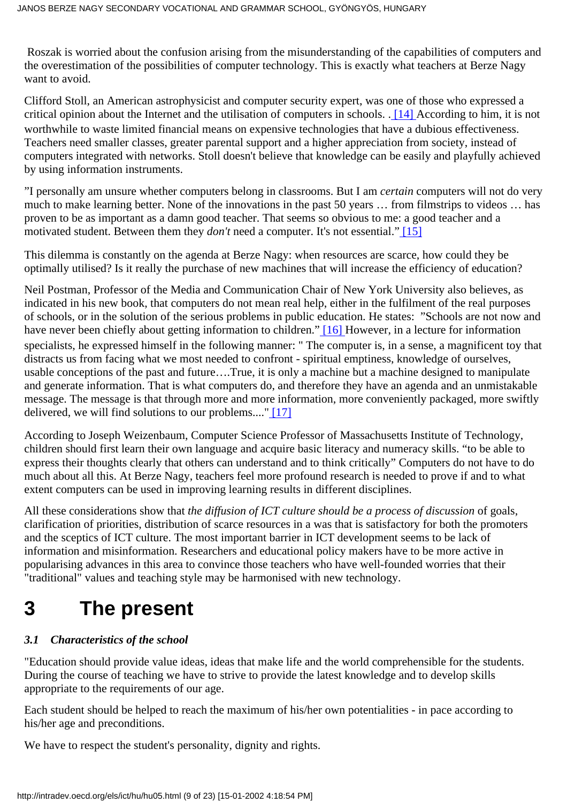Roszak is worried about the confusion arising from the misunderstanding of the capabilities of computers and the overestimation of the possibilities of computer technology. This is exactly what teachers at Berze Nagy want to avoid.

<span id="page-8-0"></span>Clifford Stoll, an American astrophysicist and computer security expert, was one of those who expressed a critical opinion about the Internet and the utilisation of computers in schools. [. \[14\]](#page-21-12) According to him, it is not worthwhile to waste limited financial means on expensive technologies that have a dubious effectiveness. Teachers need smaller classes, greater parental support and a higher appreciation from society, instead of computers integrated with networks. Stoll doesn't believe that knowledge can be easily and playfully achieved by using information instruments.

"I personally am unsure whether computers belong in classrooms. But I am *certain* computers will not do very much to make learning better. None of the innovations in the past 50 years … from filmstrips to videos … has proven to be as important as a damn good teacher. That seems so obvious to me: a good teacher and a motivated student. Between them they *don't* need a computer. It's not essential.[" \[15\]](#page-21-13)

<span id="page-8-1"></span>This dilemma is constantly on the agenda at Berze Nagy: when resources are scarce, how could they be optimally utilised? Is it really the purchase of new machines that will increase the efficiency of education?

<span id="page-8-2"></span>Neil Postman, Professor of the Media and Communication Chair of New York University also believes, as indicated in his new book, that computers do not mean real help, either in the fulfilment of the real purposes of schools, or in the solution of the serious problems in public education. He states: "Schools are not now and have never been chiefly about getting information to children." [\[16\]](#page-21-14) However, in a lecture for information specialists, he expressed himself in the following manner: " The computer is, in a sense, a magnificent toy that distracts us from facing what we most needed to confront - spiritual emptiness, knowledge of ourselves, usable conceptions of the past and future….True, it is only a machine but a machine designed to manipulate and generate information. That is what computers do, and therefore they have an agenda and an unmistakable message. The message is that through more and more information, more conveniently packaged, more swiftly delivered, we will find solutions to our problems....[" \[17\]](#page-22-0)

<span id="page-8-3"></span>According to Joseph Weizenbaum, Computer Science Professor of Massachusetts Institute of Technology, children should first learn their own language and acquire basic literacy and numeracy skills. "to be able to express their thoughts clearly that others can understand and to think critically" Computers do not have to do much about all this. At Berze Nagy, teachers feel more profound research is needed to prove if and to what extent computers can be used in improving learning results in different disciplines.

All these considerations show that *the diffusion of ICT culture should be a process of discussion* of goals, clarification of priorities, distribution of scarce resources in a was that is satisfactory for both the promoters and the sceptics of ICT culture. The most important barrier in ICT development seems to be lack of information and misinformation. Researchers and educational policy makers have to be more active in popularising advances in this area to convince those teachers who have well-founded worries that their "traditional" values and teaching style may be harmonised with new technology.

# **3 The present**

#### *3.1 Characteristics of the school*

"Education should provide value ideas, ideas that make life and the world comprehensible for the students. During the course of teaching we have to strive to provide the latest knowledge and to develop skills appropriate to the requirements of our age.

Each student should be helped to reach the maximum of his/her own potentialities - in pace according to his/her age and preconditions.

We have to respect the student's personality, dignity and rights.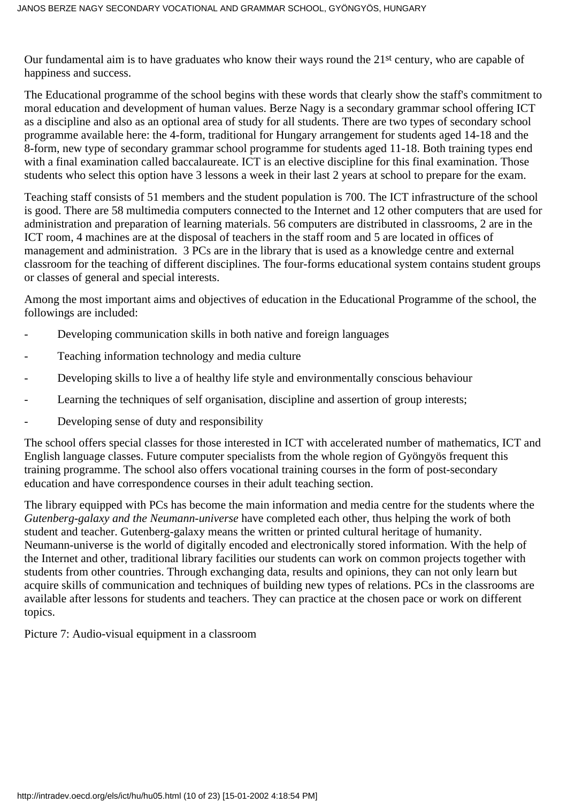Our fundamental aim is to have graduates who know their ways round the 21st century, who are capable of happiness and success.

The Educational programme of the school begins with these words that clearly show the staff's commitment to moral education and development of human values. Berze Nagy is a secondary grammar school offering ICT as a discipline and also as an optional area of study for all students. There are two types of secondary school programme available here: the 4-form, traditional for Hungary arrangement for students aged 14-18 and the 8-form, new type of secondary grammar school programme for students aged 11-18. Both training types end with a final examination called baccalaureate. ICT is an elective discipline for this final examination. Those students who select this option have 3 lessons a week in their last 2 years at school to prepare for the exam.

Teaching staff consists of 51 members and the student population is 700. The ICT infrastructure of the school is good. There are 58 multimedia computers connected to the Internet and 12 other computers that are used for administration and preparation of learning materials. 56 computers are distributed in classrooms, 2 are in the ICT room, 4 machines are at the disposal of teachers in the staff room and 5 are located in offices of management and administration. 3 PCs are in the library that is used as a knowledge centre and external classroom for the teaching of different disciplines. The four-forms educational system contains student groups or classes of general and special interests.

Among the most important aims and objectives of education in the Educational Programme of the school, the followings are included:

- Developing communication skills in both native and foreign languages
- Teaching information technology and media culture
- Developing skills to live a of healthy life style and environmentally conscious behaviour
- Learning the techniques of self organisation, discipline and assertion of group interests;
- Developing sense of duty and responsibility

The school offers special classes for those interested in ICT with accelerated number of mathematics, ICT and English language classes. Future computer specialists from the whole region of Gyöngyös frequent this training programme. The school also offers vocational training courses in the form of post-secondary education and have correspondence courses in their adult teaching section.

The library equipped with PCs has become the main information and media centre for the students where the *Gutenberg-galaxy and the Neumann-universe* have completed each other, thus helping the work of both student and teacher. Gutenberg-galaxy means the written or printed cultural heritage of humanity. Neumann-universe is the world of digitally encoded and electronically stored information. With the help of the Internet and other, traditional library facilities our students can work on common projects together with students from other countries. Through exchanging data, results and opinions, they can not only learn but acquire skills of communication and techniques of building new types of relations. PCs in the classrooms are available after lessons for students and teachers. They can practice at the chosen pace or work on different topics.

Picture 7: Audio-visual equipment in a classroom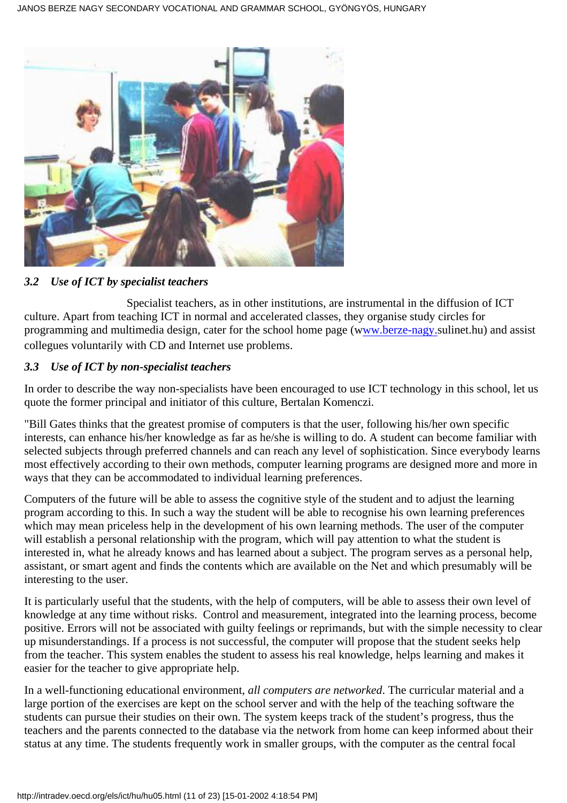

#### *3.2 Use of ICT by specialist teachers*

 Specialist teachers, as in other institutions, are instrumental in the diffusion of ICT culture. Apart from teaching ICT in normal and accelerated classes, they organise study circles for programming and multimedia design, cater for the school home page (w[ww.berze-nagy.](http://ww.berze-nagy./)sulinet.hu) and assist collegues voluntarily with CD and Internet use problems.

#### *3.3 Use of ICT by non-specialist teachers*

In order to describe the way non-specialists have been encouraged to use ICT technology in this school, let us quote the former principal and initiator of this culture, Bertalan Komenczi.

"Bill Gates thinks that the greatest promise of computers is that the user, following his/her own specific interests, can enhance his/her knowledge as far as he/she is willing to do. A student can become familiar with selected subjects through preferred channels and can reach any level of sophistication. Since everybody learns most effectively according to their own methods, computer learning programs are designed more and more in ways that they can be accommodated to individual learning preferences.

Computers of the future will be able to assess the cognitive style of the student and to adjust the learning program according to this. In such a way the student will be able to recognise his own learning preferences which may mean priceless help in the development of his own learning methods. The user of the computer will establish a personal relationship with the program, which will pay attention to what the student is interested in, what he already knows and has learned about a subject. The program serves as a personal help, assistant, or smart agent and finds the contents which are available on the Net and which presumably will be interesting to the user.

It is particularly useful that the students, with the help of computers, will be able to assess their own level of knowledge at any time without risks. Control and measurement, integrated into the learning process, become positive. Errors will not be associated with guilty feelings or reprimands, but with the simple necessity to clear up misunderstandings. If a process is not successful, the computer will propose that the student seeks help from the teacher. This system enables the student to assess his real knowledge, helps learning and makes it easier for the teacher to give appropriate help.

In a well-functioning educational environment, *all computers are networked*. The curricular material and a large portion of the exercises are kept on the school server and with the help of the teaching software the students can pursue their studies on their own. The system keeps track of the student's progress, thus the teachers and the parents connected to the database via the network from home can keep informed about their status at any time. The students frequently work in smaller groups, with the computer as the central focal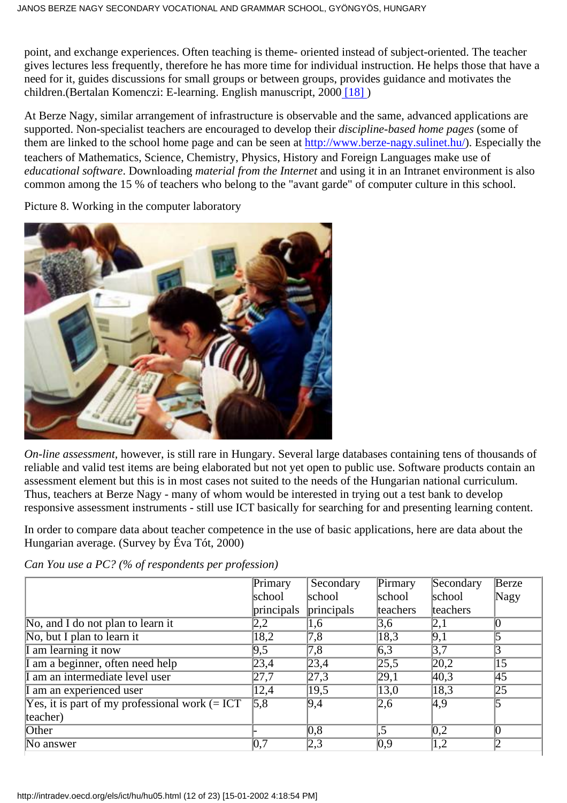point, and exchange experiences. Often teaching is theme- oriented instead of subject-oriented. The teacher gives lectures less frequently, therefore he has more time for individual instruction. He helps those that have a need for it, guides discussions for small groups or between groups, provides guidance and motivates the children.(Bertalan Komenczi: E-learning. English manuscript, 200[0 \[18\]](#page-22-1) )

<span id="page-11-0"></span>At Berze Nagy, similar arrangement of infrastructure is observable and the same, advanced applications are supported. Non-specialist teachers are encouraged to develop their *discipline-based home pages* (some of them are linked to the school home page and can be seen at <http://www.berze-nagy.sulinet.hu/>). Especially the teachers of Mathematics, Science, Chemistry, Physics, History and Foreign Languages make use of *educational software*. Downloading *material from the Internet* and using it in an Intranet environment is also common among the 15 % of teachers who belong to the "avant garde" of computer culture in this school.

Picture 8. Working in the computer laboratory



*On-line assessment,* however, is still rare in Hungary. Several large databases containing tens of thousands of reliable and valid test items are being elaborated but not yet open to public use. Software products contain an assessment element but this is in most cases not suited to the needs of the Hungarian national curriculum. Thus, teachers at Berze Nagy - many of whom would be interested in trying out a test bank to develop responsive assessment instruments - still use ICT basically for searching for and presenting learning content.

In order to compare data about teacher competence in the use of basic applications, here are data about the Hungarian average. (Survey by Éva Tót, 2000)

*Can You use a PC? (% of respondents per profession)*

|                                                   | Primary           | Secondary        | Pirmary           | Secondary         | Berze           |
|---------------------------------------------------|-------------------|------------------|-------------------|-------------------|-----------------|
|                                                   | school            | school           | school            | school            | Nagy            |
|                                                   | principals        | principals       | teachers          | teachers          |                 |
| No, and I do not plan to learn it                 | 2,2               | 1,6              | 3,6               | 2,1               |                 |
| No, but I plan to learn it                        | 18,2              | $\sqrt{7.8}$     | 18,3              | $\overline{9,1}$  |                 |
| am learning it now                                | 9,5               | $\overline{7,8}$ | $\overline{6,3}$  | $\overline{3,7}$  |                 |
| am a beginner, often need help                    | $\sqrt{23,4}$     | $\sqrt{23,4}$    | $\sqrt{25,5}$     | $\sqrt{20,2}$     | 15              |
| am an intermediate level user                     | $\overline{27.7}$ | $\sqrt{27,3}$    | [29,1]            | 40,3              | 45              |
| am an experienced user                            | 12,4              | $\sqrt{19,5}$    | $\overline{13,0}$ | $\overline{18,3}$ | $\overline{25}$ |
| Yes, it is part of my professional work $(= ICT)$ | $\overline{5,8}$  | $\overline{9,4}$ | $\sqrt{2,6}$      | $\overline{4.9}$  |                 |
| teacher)                                          |                   |                  |                   |                   |                 |
| Other                                             |                   | $\overline{0,8}$ | $\overline{.5}$   | $\overline{0.2}$  |                 |
| No answer                                         | 0,7               | 2,3              | $\overline{0.9}$  | 1,2               | $\overline{2}$  |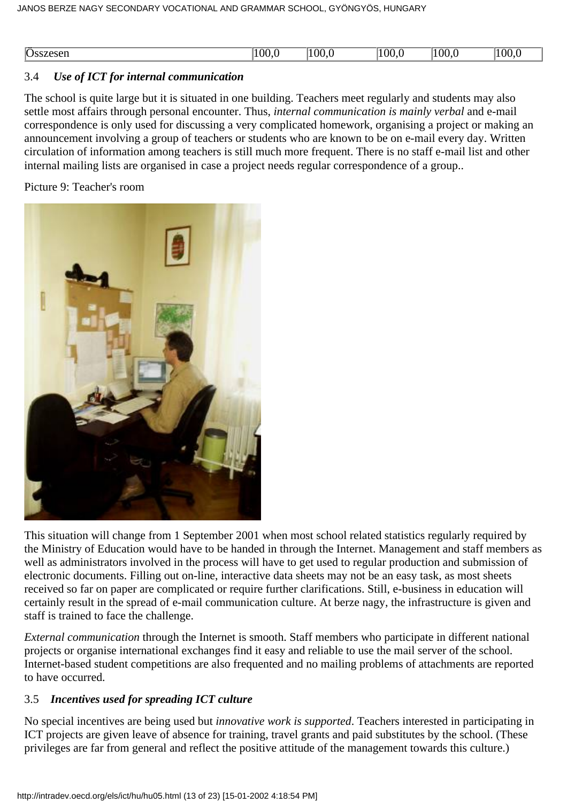| <b>STATE</b><br>$\overline{Os}$<br>7.C3CH | 100 | 100. | 00.0 | 0 <sup>0</sup> | ۱OC |
|-------------------------------------------|-----|------|------|----------------|-----|
|                                           |     |      |      |                |     |

#### 3.4 *Use of ICT for internal communication*

The school is quite large but it is situated in one building. Teachers meet regularly and students may also settle most affairs through personal encounter. Thus, *internal communication is mainly verbal* and e-mail correspondence is only used for discussing a very complicated homework, organising a project or making an announcement involving a group of teachers or students who are known to be on e-mail every day. Written circulation of information among teachers is still much more frequent. There is no staff e-mail list and other internal mailing lists are organised in case a project needs regular correspondence of a group..

Picture 9: Teacher's room



This situation will change from 1 September 2001 when most school related statistics regularly required by the Ministry of Education would have to be handed in through the Internet. Management and staff members as well as administrators involved in the process will have to get used to regular production and submission of electronic documents. Filling out on-line, interactive data sheets may not be an easy task, as most sheets received so far on paper are complicated or require further clarifications. Still, e-business in education will certainly result in the spread of e-mail communication culture. At berze nagy, the infrastructure is given and staff is trained to face the challenge.

*External communication* through the Internet is smooth. Staff members who participate in different national projects or organise international exchanges find it easy and reliable to use the mail server of the school. Internet-based student competitions are also frequented and no mailing problems of attachments are reported to have occurred.

#### 3.5 *Incentives used for spreading ICT culture*

No special incentives are being used but *innovative work is supported*. Teachers interested in participating in ICT projects are given leave of absence for training, travel grants and paid substitutes by the school. (These privileges are far from general and reflect the positive attitude of the management towards this culture.)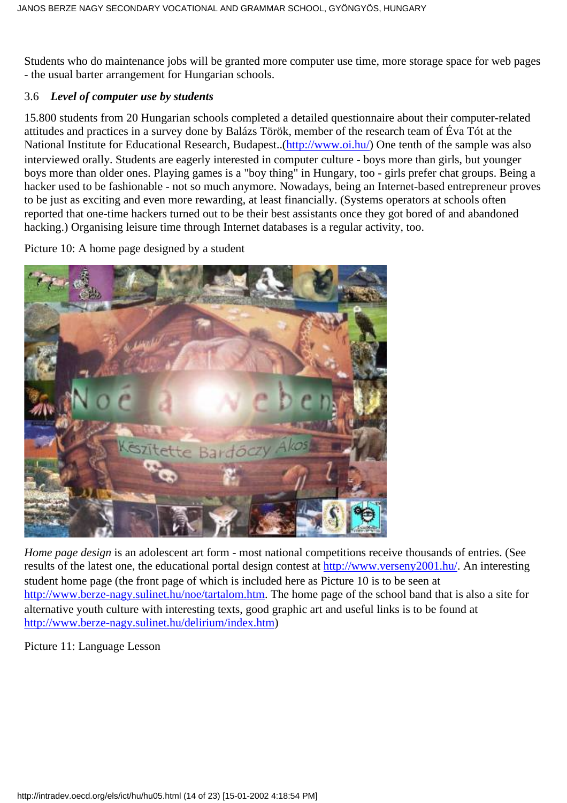Students who do maintenance jobs will be granted more computer use time, more storage space for web pages - the usual barter arrangement for Hungarian schools.

#### 3.6 *Level of computer use by students*

15.800 students from 20 Hungarian schools completed a detailed questionnaire about their computer-related attitudes and practices in a survey done by Balázs Török, member of the research team of Éva Tót at the National Institute for Educational Research, Budapest..[\(http://www.oi.hu/\)](http://www.oi.hu/) One tenth of the sample was also interviewed orally. Students are eagerly interested in computer culture - boys more than girls, but younger boys more than older ones. Playing games is a "boy thing" in Hungary, too - girls prefer chat groups. Being a hacker used to be fashionable - not so much anymore. Nowadays, being an Internet-based entrepreneur proves to be just as exciting and even more rewarding, at least financially. (Systems operators at schools often reported that one-time hackers turned out to be their best assistants once they got bored of and abandoned hacking.) Organising leisure time through Internet databases is a regular activity, too.

Picture 10: A home page designed by a student



*Home page design* is an adolescent art form - most national competitions receive thousands of entries. (See results of the latest one, the educational portal design contest at [http://www.verseny2001.hu/.](http://www.verseny2001.hu/) An interesting student home page (the front page of which is included here as Picture 10 is to be seen at [http://www.berze-nagy.sulinet.hu/noe/tartalom.htm.](http://www.berze-nagy.sulinet.hu/noe/tartalom.htm) The home page of the school band that is also a site for alternative youth culture with interesting texts, good graphic art and useful links is to be found at <http://www.berze-nagy.sulinet.hu/delirium/index.htm>)

Picture 11: Language Lesson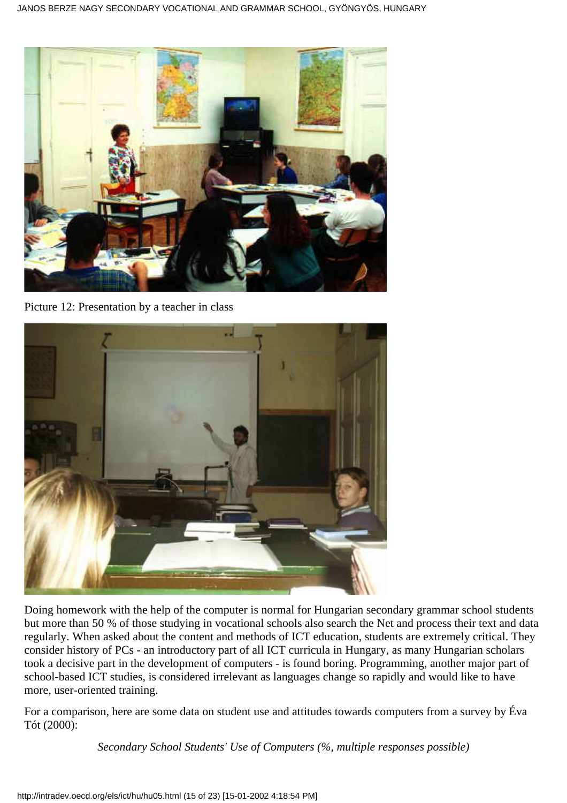

Picture 12: Presentation by a teacher in class



Doing homework with the help of the computer is normal for Hungarian secondary grammar school students but more than 50 % of those studying in vocational schools also search the Net and process their text and data regularly. When asked about the content and methods of ICT education, students are extremely critical. They consider history of PCs - an introductory part of all ICT curricula in Hungary, as many Hungarian scholars took a decisive part in the development of computers - is found boring. Programming, another major part of school-based ICT studies, is considered irrelevant as languages change so rapidly and would like to have more, user-oriented training.

For a comparison, here are some data on student use and attitudes towards computers from a survey by Éva Tót (2000):

*Secondary School Students' Use of Computers (%, multiple responses possible)*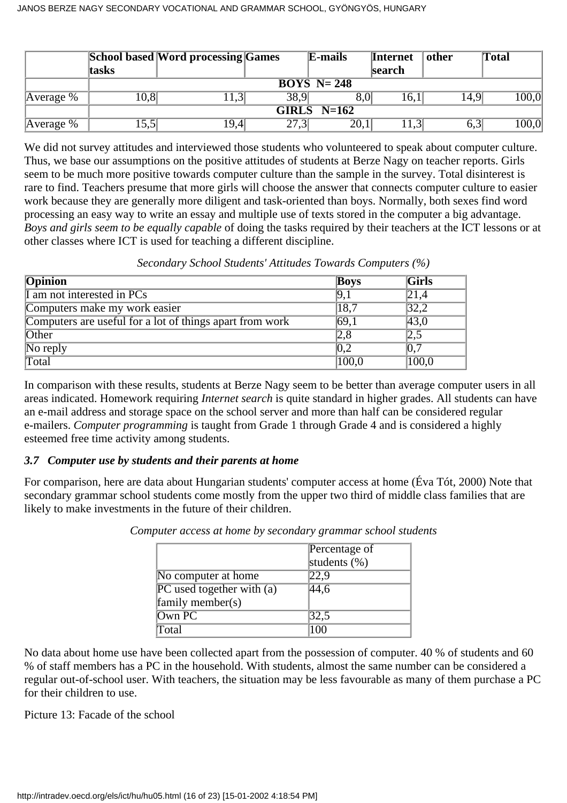|             |       | <b>School based Word processing Games</b> |      | E-mails                  | <b>Internet</b> | other | Total |
|-------------|-------|-------------------------------------------|------|--------------------------|-----------------|-------|-------|
|             | tasks |                                           |      |                          | search          |       |       |
|             |       |                                           |      | $\overline{BOYS}$ N= 248 |                 |       |       |
| Average $%$ | 0,8   | (1,3)                                     | 38,9 | $8.0^\circ$              | 16,1            | 14.9  | 100,0 |
|             |       |                                           |      | GIRLS $N=162$            |                 |       |       |
| Average %   | 15,5  | 19,4                                      | 27,3 | 20,1                     | 11,3            | 0.3   | 100,0 |

We did not survey attitudes and interviewed those students who volunteered to speak about computer culture. Thus, we base our assumptions on the positive attitudes of students at Berze Nagy on teacher reports. Girls seem to be much more positive towards computer culture than the sample in the survey. Total disinterest is rare to find. Teachers presume that more girls will choose the answer that connects computer culture to easier work because they are generally more diligent and task-oriented than boys. Normally, both sexes find word processing an easy way to write an essay and multiple use of texts stored in the computer a big advantage. *Boys and girls seem to be equally capable* of doing the tasks required by their teachers at the ICT lessons or at other classes where ICT is used for teaching a different discipline.

| Opinion                                                  | <b>Boys</b> | <b>Girls</b> |
|----------------------------------------------------------|-------------|--------------|
| I am not interested in PCs                               | 9,1         | 21,4         |
| Computers make my work easier                            | 18,7        | 32,2         |
| Computers are useful for a lot of things apart from work | 69,1        | 43,0         |
| Other                                                    | 2,8         | $ 2,\!5\>$   |
| No reply                                                 | 0,2         | 0,7          |
| Total                                                    | 100,0       | 100,0        |

*Secondary School Students' Attitudes Towards Computers (%)*

In comparison with these results, students at Berze Nagy seem to be better than average computer users in all areas indicated. Homework requiring *Internet search* is quite standard in higher grades. All students can have an e-mail address and storage space on the school server and more than half can be considered regular e-mailers. *Computer programming* is taught from Grade 1 through Grade 4 and is considered a highly esteemed free time activity among students.

#### *3.7 Computer use by students and their parents at home*

For comparison, here are data about Hungarian students' computer access at home (Éva Tót, 2000) Note that secondary grammar school students come mostly from the upper two third of middle class families that are likely to make investments in the future of their children.

|                               | Percentage of   |
|-------------------------------|-----------------|
|                               | students $(\%)$ |
| No computer at home           | 22,9            |
| $PC$ used together with $(a)$ | 44,6            |
| family member(s)              |                 |
| Own PC                        | 32,5            |
| Total                         | (1)             |

*Computer access at home by secondary grammar school students*

No data about home use have been collected apart from the possession of computer. 40 % of students and 60 % of staff members has a PC in the household. With students, almost the same number can be considered a regular out-of-school user. With teachers, the situation may be less favourable as many of them purchase a PC for their children to use.

Picture 13: Facade of the school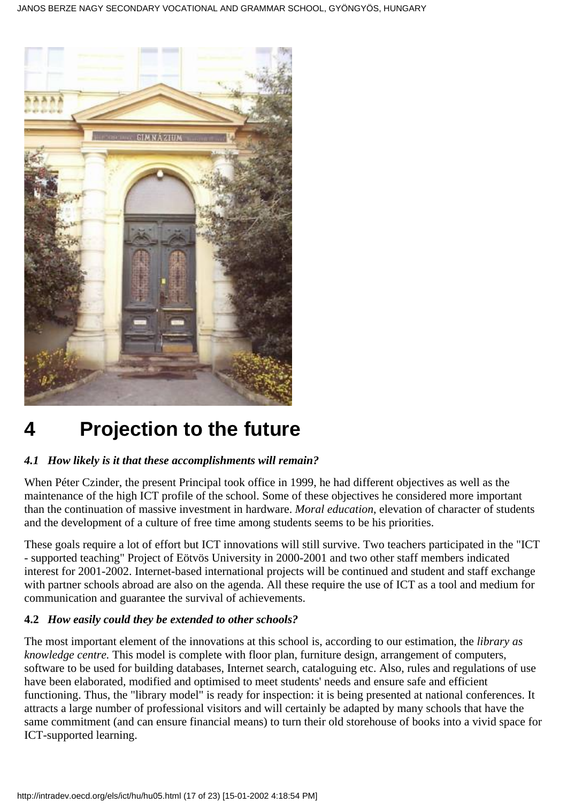

# **4 Projection to the future**

#### *4.1 How likely is it that these accomplishments will remain?*

When Péter Czinder, the present Principal took office in 1999, he had different objectives as well as the maintenance of the high ICT profile of the school. Some of these objectives he considered more important than the continuation of massive investment in hardware. *Moral education*, elevation of character of students and the development of a culture of free time among students seems to be his priorities.

These goals require a lot of effort but ICT innovations will still survive. Two teachers participated in the "ICT - supported teaching" Project of Eötvös University in 2000-2001 and two other staff members indicated interest for 2001-2002. Internet-based international projects will be continued and student and staff exchange with partner schools abroad are also on the agenda. All these require the use of ICT as a tool and medium for communication and guarantee the survival of achievements.

#### **4.2** *How easily could they be extended to other schools?*

The most important element of the innovations at this school is, according to our estimation, the *library as knowledge centre.* This model is complete with floor plan, furniture design, arrangement of computers, software to be used for building databases, Internet search, cataloguing etc. Also, rules and regulations of use have been elaborated, modified and optimised to meet students' needs and ensure safe and efficient functioning. Thus, the "library model" is ready for inspection: it is being presented at national conferences. It attracts a large number of professional visitors and will certainly be adapted by many schools that have the same commitment (and can ensure financial means) to turn their old storehouse of books into a vivid space for ICT-supported learning.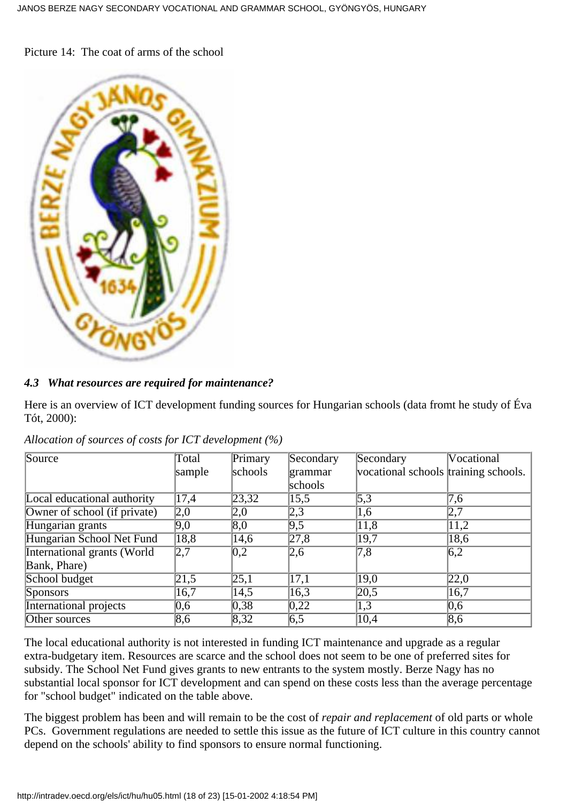Picture 14: The coat of arms of the school



#### *4.3 What resources are required for maintenance?*

Here is an overview of ICT development funding sources for Hungarian schools (data fromt he study of Éva Tót, 2000):

| Source                       | <b>Total</b>     | Primary           | Secondary        | Secondary                            | Vocational       |
|------------------------------|------------------|-------------------|------------------|--------------------------------------|------------------|
|                              | sample           | schools           | grammar          | vocational schools training schools. |                  |
|                              |                  |                   | schools          |                                      |                  |
| Local educational authority  | 17,4             | $\sqrt{23,32}$    | 15,5             | 5,3                                  | 7,6              |
| Owner of school (if private) | 2,0              | 2,0               | 2,3              | 1,6                                  | 2,7              |
| Hungarian grants             | 9,0              | $ 8,0\rangle$     | 9,5              | 11,8                                 | 11,2             |
| Hungarian School Net Fund    | 18,8             | 14,6              | $\sqrt{27,8}$    | $\sqrt{19,7}$                        | 18,6             |
| International grants (World  | 2,7              | $\overline{0,2}$  | 2,6              | $\overline{7,8}$                     | $\overline{6,2}$ |
| Bank, Phare)                 |                  |                   |                  |                                      |                  |
| School budget                | 21,5             | $\overline{25,1}$ | 17,1             | $ 19,0\rangle$                       | 22,0             |
| <b>Sponsors</b>              | 16,7             | 14,5              | 16,3             | $\sqrt{20,5}$                        | 16,7             |
| International projects       | 0,6              | 0,38              | $ 0,22\rangle$   | 1,3                                  | $\overline{0,6}$ |
| Other sources                | $\overline{8,6}$ | 8,32              | $\overline{6,5}$ | $\overline{10,4}$                    | $\overline{8,6}$ |

*Allocation of sources of costs for ICT development (%)*

The local educational authority is not interested in funding ICT maintenance and upgrade as a regular extra-budgetary item. Resources are scarce and the school does not seem to be one of preferred sites for subsidy. The School Net Fund gives grants to new entrants to the system mostly. Berze Nagy has no substantial local sponsor for ICT development and can spend on these costs less than the average percentage for "school budget" indicated on the table above.

The biggest problem has been and will remain to be the cost of *repair and replacement* of old parts or whole PCs. Government regulations are needed to settle this issue as the future of ICT culture in this country cannot depend on the schools' ability to find sponsors to ensure normal functioning.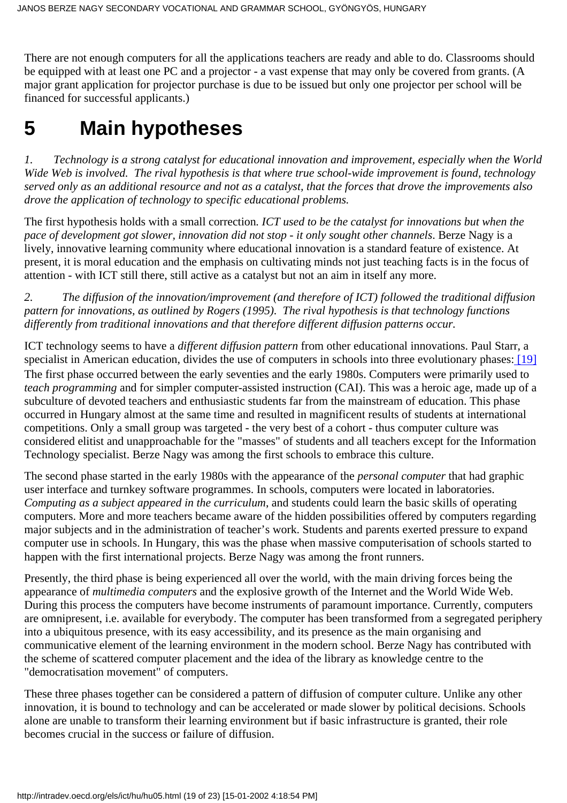There are not enough computers for all the applications teachers are ready and able to do. Classrooms should be equipped with at least one PC and a projector - a vast expense that may only be covered from grants. (A major grant application for projector purchase is due to be issued but only one projector per school will be financed for successful applicants.)

# **5 Main hypotheses**

*1. Technology is a strong catalyst for educational innovation and improvement, especially when the World Wide Web is involved. The rival hypothesis is that where true school-wide improvement is found, technology served only as an additional resource and not as a catalyst, that the forces that drove the improvements also drove the application of technology to specific educational problems.*

The first hypothesis holds with a small correction*. ICT used to be the catalyst for innovations but when the pace of development got slower, innovation did not stop - it only sought other channels*. Berze Nagy is a lively, innovative learning community where educational innovation is a standard feature of existence. At present, it is moral education and the emphasis on cultivating minds not just teaching facts is in the focus of attention - with ICT still there, still active as a catalyst but not an aim in itself any more.

*2. The diffusion of the innovation/improvement (and therefore of ICT) followed the traditional diffusion pattern for innovations, as outlined by Rogers (1995). The rival hypothesis is that technology functions differently from traditional innovations and that therefore different diffusion patterns occur.*

<span id="page-18-0"></span>ICT technology seems to have a *different diffusion pattern* from other educational innovations. Paul Starr, a specialist in American education, divides the use of computers in schools into three evolutionary phases: [\[19\]](#page-22-2) The first phase occurred between the early seventies and the early 1980s. Computers were primarily used to *teach programming* and for simpler computer-assisted instruction (CAI). This was a heroic age, made up of a subculture of devoted teachers and enthusiastic students far from the mainstream of education. This phase occurred in Hungary almost at the same time and resulted in magnificent results of students at international competitions. Only a small group was targeted - the very best of a cohort - thus computer culture was considered elitist and unapproachable for the "masses" of students and all teachers except for the Information Technology specialist. Berze Nagy was among the first schools to embrace this culture.

The second phase started in the early 1980s with the appearance of the *personal computer* that had graphic user interface and turnkey software programmes. In schools, computers were located in laboratories. *Computing as a subject appeared in the curriculum*, and students could learn the basic skills of operating computers. More and more teachers became aware of the hidden possibilities offered by computers regarding major subjects and in the administration of teacher's work. Students and parents exerted pressure to expand computer use in schools. In Hungary, this was the phase when massive computerisation of schools started to happen with the first international projects. Berze Nagy was among the front runners.

Presently, the third phase is being experienced all over the world, with the main driving forces being the appearance of *multimedia computers* and the explosive growth of the Internet and the World Wide Web. During this process the computers have become instruments of paramount importance. Currently, computers are omnipresent, i.e. available for everybody. The computer has been transformed from a segregated periphery into a ubiquitous presence, with its easy accessibility, and its presence as the main organising and communicative element of the learning environment in the modern school. Berze Nagy has contributed with the scheme of scattered computer placement and the idea of the library as knowledge centre to the "democratisation movement" of computers.

These three phases together can be considered a pattern of diffusion of computer culture. Unlike any other innovation, it is bound to technology and can be accelerated or made slower by political decisions. Schools alone are unable to transform their learning environment but if basic infrastructure is granted, their role becomes crucial in the success or failure of diffusion.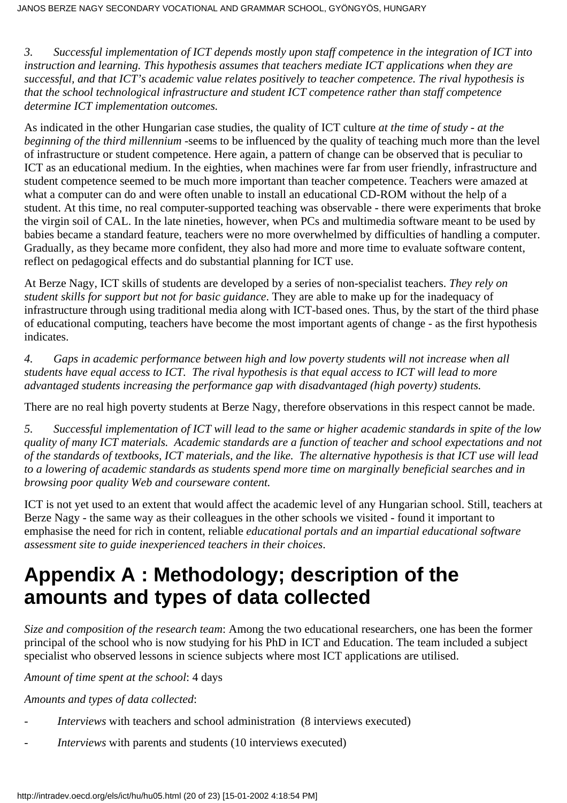*3. Successful implementation of ICT depends mostly upon staff competence in the integration of ICT into instruction and learning. This hypothesis assumes that teachers mediate ICT applications when they are successful, and that ICT's academic value relates positively to teacher competence. The rival hypothesis is that the school technological infrastructure and student ICT competence rather than staff competence determine ICT implementation outcomes.*

As indicated in the other Hungarian case studies, the quality of ICT culture *at the time of study - at the beginning of the third millennium -*seems to be influenced by the quality of teaching much more than the level of infrastructure or student competence. Here again, a pattern of change can be observed that is peculiar to ICT as an educational medium. In the eighties, when machines were far from user friendly, infrastructure and student competence seemed to be much more important than teacher competence. Teachers were amazed at what a computer can do and were often unable to install an educational CD-ROM without the help of a student. At this time, no real computer-supported teaching was observable - there were experiments that broke the virgin soil of CAL. In the late nineties, however, when PCs and multimedia software meant to be used by babies became a standard feature, teachers were no more overwhelmed by difficulties of handling a computer. Gradually, as they became more confident, they also had more and more time to evaluate software content, reflect on pedagogical effects and do substantial planning for ICT use.

At Berze Nagy, ICT skills of students are developed by a series of non-specialist teachers. *They rely on student skills for support but not for basic guidance*. They are able to make up for the inadequacy of infrastructure through using traditional media along with ICT-based ones. Thus, by the start of the third phase of educational computing, teachers have become the most important agents of change - as the first hypothesis indicates.

*4. Gaps in academic performance between high and low poverty students will not increase when all students have equal access to ICT. The rival hypothesis is that equal access to ICT will lead to more advantaged students increasing the performance gap with disadvantaged (high poverty) students.*

There are no real high poverty students at Berze Nagy, therefore observations in this respect cannot be made.

*5. Successful implementation of ICT will lead to the same or higher academic standards in spite of the low quality of many ICT materials. Academic standards are a function of teacher and school expectations and not of the standards of textbooks, ICT materials, and the like. The alternative hypothesis is that ICT use will lead to a lowering of academic standards as students spend more time on marginally beneficial searches and in browsing poor quality Web and courseware content.*

ICT is not yet used to an extent that would affect the academic level of any Hungarian school. Still, teachers at Berze Nagy - the same way as their colleagues in the other schools we visited - found it important to emphasise the need for rich in content, reliable *educational portals and an impartial educational software assessment site to guide inexperienced teachers in their choices*.

### **Appendix A : Methodology; description of the amounts and types of data collected**

*Size and composition of the research team*: Among the two educational researchers, one has been the former principal of the school who is now studying for his PhD in ICT and Education. The team included a subject specialist who observed lessons in science subjects where most ICT applications are utilised.

*Amount of time spent at the school*: 4 days

*Amounts and types of data collected*:

- *Interviews* with teachers and school administration (8 interviews executed)
- *Interviews* with parents and students (10 interviews executed)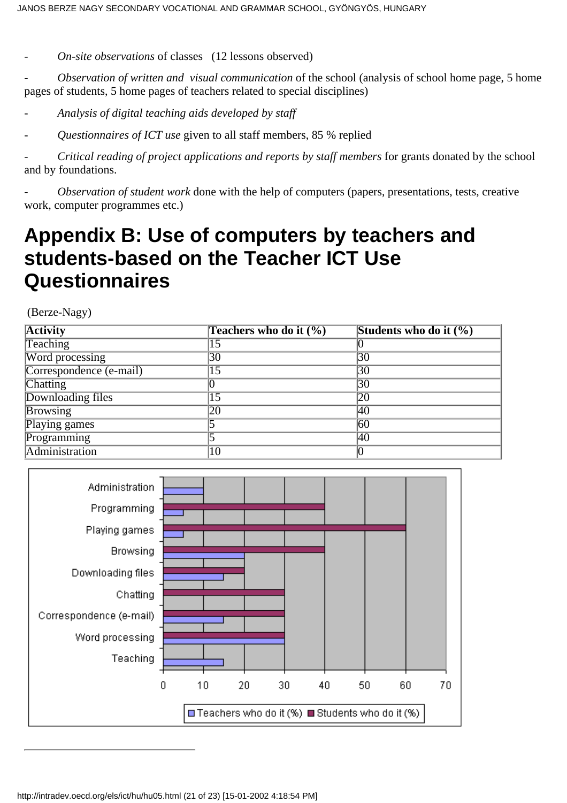- *On-site observations* of classes (12 lessons observed)

- *Observation of written and visual communication* of the school (analysis of school home page, 5 home pages of students, 5 home pages of teachers related to special disciplines)

- *Analysis of digital teaching aids developed by staff*

- *Questionnaires of ICT use* given to all staff members, 85 % replied

- *Critical reading of project applications and reports by staff members* for grants donated by the school and by foundations.

- *Observation of student work* done with the help of computers (papers, presentations, tests, creative work, computer programmes etc.)

### **Appendix B: Use of computers by teachers and students-based on the Teacher ICT Use Questionnaires**

(Berze-Nagy)

| <b>Activity</b>         | Teachers who do it (%) | Students who do it $(\% )$ |
|-------------------------|------------------------|----------------------------|
| Teaching                | 15                     |                            |
| Word processing         | 30                     | 30                         |
| Correspondence (e-mail) | 15                     | 30                         |
| Chatting                |                        | 30                         |
| Downloading files       | 15                     | 20                         |
| <b>Browsing</b>         | 20                     | 40                         |
| Playing games           |                        | 60                         |
| Programming             |                        | 40                         |
| Administration          | 10                     |                            |

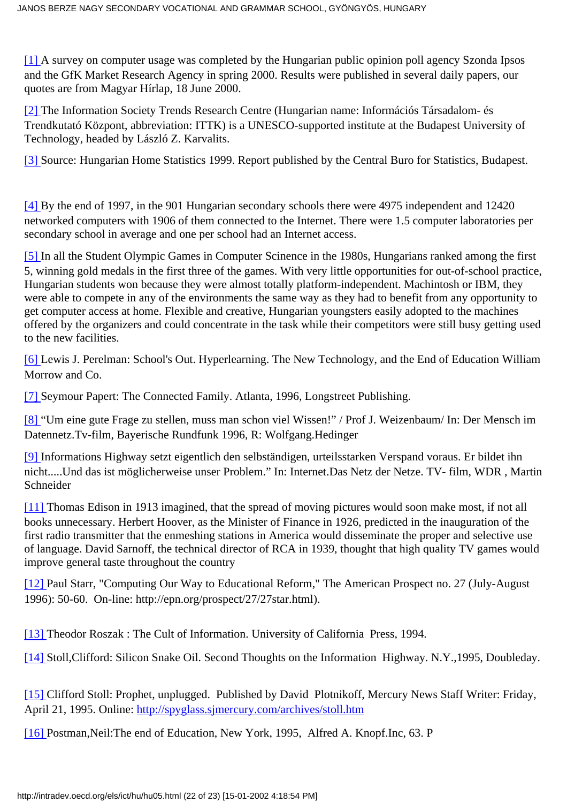<span id="page-21-0"></span>[\[1\]](#page-0-1) A survey on computer usage was completed by the Hungarian public opinion poll agency Szonda Ipsos and the GfK Market Research Agency in spring 2000. Results were published in several daily papers, our quotes are from Magyar Hírlap, 18 June 2000.

<span id="page-21-1"></span>[\[2\]](#page-1-0) The Information Society Trends Research Centre (Hungarian name: Információs Társadalom- és Trendkutató Központ, abbreviation: ITTK) is a UNESCO-supported institute at the Budapest University of Technology, headed by László Z. Karvalits.

<span id="page-21-2"></span>[\[3\]](#page-1-1) Source: Hungarian Home Statistics 1999. Report published by the Central Buro for Statistics, Budapest.

<span id="page-21-3"></span>[\[4\]](#page-1-2) By the end of 1997, in the 901 Hungarian secondary schools there were 4975 independent and 12420 networked computers with 1906 of them connected to the Internet. There were 1.5 computer laboratories per secondary school in average and one per school had an Internet access.

<span id="page-21-4"></span>[\[5\]](#page-1-3) In all the Student Olympic Games in Computer Scinence in the 1980s, Hungarians ranked among the first 5, winning gold medals in the first three of the games. With very little opportunities for out-of-school practice, Hungarian students won because they were almost totally platform-independent. Machintosh or IBM, they were able to compete in any of the environments the same way as they had to benefit from any opportunity to get computer access at home. Flexible and creative, Hungarian youngsters easily adopted to the machines offered by the organizers and could concentrate in the task while their competitors were still busy getting used to the new facilities.

<span id="page-21-5"></span>[\[6\]](#page-4-0) Lewis J. Perelman: School's Out. Hyperlearning. The New Technology, and the End of Education William Morrow and Co.

<span id="page-21-6"></span>[\[7\]](#page-4-1) Seymour Papert: The Connected Family. Atlanta, 1996, Longstreet Publishing.

<span id="page-21-7"></span>[\[8\]](#page-4-2) "Um eine gute Frage zu stellen, muss man schon viel Wissen!" / Prof J. Weizenbaum/ In: Der Mensch im Datennetz.Tv-film, Bayerische Rundfunk 1996, R: Wolfgang.Hedinger

<span id="page-21-8"></span>[\[9\]](#page-4-3) Informations Highway setzt eigentlich den selbständigen, urteilsstarken Verspand voraus. Er bildet ihn nicht.....Und das ist möglicherweise unser Problem." In: Internet.Das Netz der Netze. TV- film, WDR , Martin Schneider

<span id="page-21-9"></span>[\[11\]](#page-7-0) Thomas Edison in 1913 imagined, that the spread of moving pictures would soon make most, if not all books unnecessary. Herbert Hoover, as the Minister of Finance in 1926, predicted in the inauguration of the first radio transmitter that the enmeshing stations in America would disseminate the proper and selective use of language. David Sarnoff, the technical director of RCA in 1939, thought that high quality TV games would improve general taste throughout the country

<span id="page-21-10"></span>[\[12\]](#page-7-1) Paul Starr, "Computing Our Way to Educational Reform," The American Prospect no. 27 (July-August 1996): 50-60. On-line: http://epn.org/prospect/27/27star.html).

<span id="page-21-11"></span>[\[13\]](#page-7-2) Theodor Roszak : The Cult of Information. University of California Press, 1994.

<span id="page-21-12"></span>[\[14\]](#page-8-0) Stoll,Clifford: Silicon Snake Oil. Second Thoughts on the Information Highway. N.Y.,1995, Doubleday.

<span id="page-21-13"></span>[\[15\]](#page-8-1) Clifford Stoll: Prophet, unplugged. Published by David Plotnikoff, Mercury News Staff Writer: Friday, April 21, 1995. Online: <http://spyglass.sjmercury.com/archives/stoll.htm>

<span id="page-21-14"></span>[\[16\]](#page-8-2) Postman,Neil:The end of Education, New York, 1995, Alfred A. Knopf.Inc, 63. P